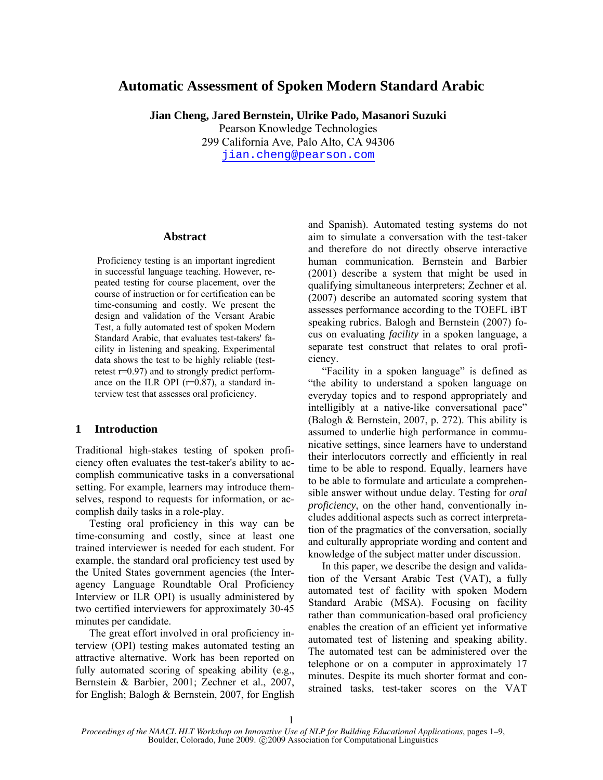# **Automatic Assessment of Spoken Modern Standard Arabic**

**Jian Cheng, Jared Bernstein, Ulrike Pado, Masanori Suzuki**  Pearson Knowledge Technologies 299 California Ave, Palo Alto, CA 94306

jian.cheng@pearson.com

#### **Abstract**

 Proficiency testing is an important ingredient in successful language teaching. However, repeated testing for course placement, over the course of instruction or for certification can be time-consuming and costly. We present the design and validation of the Versant Arabic Test, a fully automated test of spoken Modern Standard Arabic, that evaluates test-takers' facility in listening and speaking. Experimental data shows the test to be highly reliable (testretest r=0.97) and to strongly predict performance on the ILR OPI  $(r=0.87)$ , a standard interview test that assesses oral proficiency.

### **1 Introduction**

Traditional high-stakes testing of spoken proficiency often evaluates the test-taker's ability to accomplish communicative tasks in a conversational setting. For example, learners may introduce themselves, respond to requests for information, or accomplish daily tasks in a role-play.

Testing oral proficiency in this way can be time-consuming and costly, since at least one trained interviewer is needed for each student. For example, the standard oral proficiency test used by the United States government agencies (the Interagency Language Roundtable Oral Proficiency Interview or ILR OPI) is usually administered by two certified interviewers for approximately 30-45 minutes per candidate.

The great effort involved in oral proficiency interview (OPI) testing makes automated testing an attractive alternative. Work has been reported on fully automated scoring of speaking ability (e.g., Bernstein & Barbier, 2001; Zechner et al., 2007, for English; Balogh & Bernstein, 2007, for English and Spanish). Automated testing systems do not aim to simulate a conversation with the test-taker and therefore do not directly observe interactive human communication. Bernstein and Barbier (2001) describe a system that might be used in qualifying simultaneous interpreters; Zechner et al. (2007) describe an automated scoring system that assesses performance according to the TOEFL iBT speaking rubrics. Balogh and Bernstein (2007) focus on evaluating *facility* in a spoken language, a separate test construct that relates to oral proficiency.

"Facility in a spoken language" is defined as "the ability to understand a spoken language on everyday topics and to respond appropriately and intelligibly at a native-like conversational pace" (Balogh & Bernstein, 2007, p. 272). This ability is assumed to underlie high performance in communicative settings, since learners have to understand their interlocutors correctly and efficiently in real time to be able to respond. Equally, learners have to be able to formulate and articulate a comprehensible answer without undue delay. Testing for *oral proficiency*, on the other hand, conventionally includes additional aspects such as correct interpretation of the pragmatics of the conversation, socially and culturally appropriate wording and content and knowledge of the subject matter under discussion.

In this paper, we describe the design and validation of the Versant Arabic Test (VAT), a fully automated test of facility with spoken Modern Standard Arabic (MSA). Focusing on facility rather than communication-based oral proficiency enables the creation of an efficient yet informative automated test of listening and speaking ability. The automated test can be administered over the telephone or on a computer in approximately 17 minutes. Despite its much shorter format and constrained tasks, test-taker scores on the VAT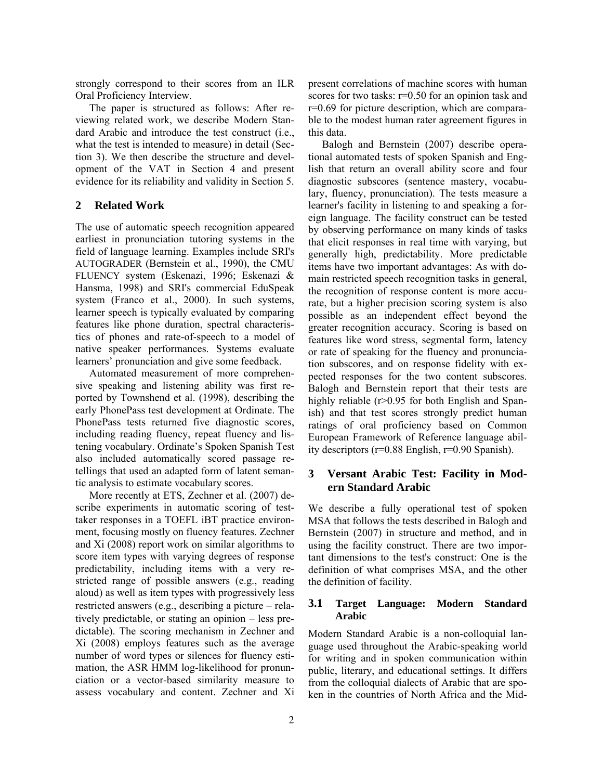strongly correspond to their scores from an ILR Oral Proficiency Interview.

The paper is structured as follows: After reviewing related work, we describe Modern Standard Arabic and introduce the test construct (i.e., what the test is intended to measure) in detail (Section 3). We then describe the structure and development of the VAT in Section 4 and present evidence for its reliability and validity in Section 5.

## **2 Related Work**

The use of automatic speech recognition appeared earliest in pronunciation tutoring systems in the field of language learning. Examples include SRI's AUTOGRADER (Bernstein et al., 1990), the CMU FLUENCY system (Eskenazi, 1996; Eskenazi & Hansma, 1998) and SRI's commercial EduSpeak system (Franco et al., 2000). In such systems, learner speech is typically evaluated by comparing features like phone duration, spectral characteristics of phones and rate-of-speech to a model of native speaker performances. Systems evaluate learners' pronunciation and give some feedback.

Automated measurement of more comprehensive speaking and listening ability was first reported by Townshend et al. (1998), describing the early PhonePass test development at Ordinate. The PhonePass tests returned five diagnostic scores, including reading fluency, repeat fluency and listening vocabulary. Ordinate's Spoken Spanish Test also included automatically scored passage retellings that used an adapted form of latent semantic analysis to estimate vocabulary scores.

More recently at ETS, Zechner et al. (2007) describe experiments in automatic scoring of testtaker responses in a TOEFL iBT practice environment, focusing mostly on fluency features. Zechner and Xi (2008) report work on similar algorithms to score item types with varying degrees of response predictability, including items with a very restricted range of possible answers (e.g., reading aloud) as well as item types with progressively less restricted answers (e.g., describing a picture − relatively predictable, or stating an opinion − less predictable). The scoring mechanism in Zechner and Xi (2008) employs features such as the average number of word types or silences for fluency estimation, the ASR HMM log-likelihood for pronunciation or a vector-based similarity measure to assess vocabulary and content. Zechner and Xi present correlations of machine scores with human scores for two tasks: r=0.50 for an opinion task and r=0.69 for picture description, which are comparable to the modest human rater agreement figures in this data.

Balogh and Bernstein (2007) describe operational automated tests of spoken Spanish and English that return an overall ability score and four diagnostic subscores (sentence mastery, vocabulary, fluency, pronunciation). The tests measure a learner's facility in listening to and speaking a foreign language. The facility construct can be tested by observing performance on many kinds of tasks that elicit responses in real time with varying, but generally high, predictability. More predictable items have two important advantages: As with domain restricted speech recognition tasks in general, the recognition of response content is more accurate, but a higher precision scoring system is also possible as an independent effect beyond the greater recognition accuracy. Scoring is based on features like word stress, segmental form, latency or rate of speaking for the fluency and pronunciation subscores, and on response fidelity with expected responses for the two content subscores. Balogh and Bernstein report that their tests are highly reliable (r>0.95 for both English and Spanish) and that test scores strongly predict human ratings of oral proficiency based on Common European Framework of Reference language ability descriptors (r=0.88 English, r=0.90 Spanish).

## **3 Versant Arabic Test: Facility in Modern Standard Arabic**

We describe a fully operational test of spoken MSA that follows the tests described in Balogh and Bernstein (2007) in structure and method, and in using the facility construct. There are two important dimensions to the test's construct: One is the definition of what comprises MSA, and the other the definition of facility.

## **3.1 Target Language: Modern Standard Arabic**

Modern Standard Arabic is a non-colloquial language used throughout the Arabic-speaking world for writing and in spoken communication within public, literary, and educational settings. It differs from the colloquial dialects of Arabic that are spoken in the countries of North Africa and the Mid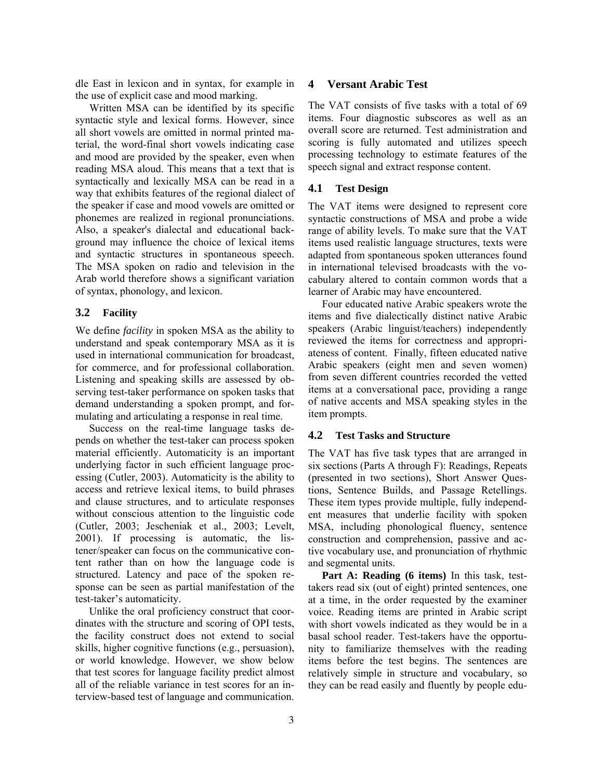dle East in lexicon and in syntax, for example in the use of explicit case and mood marking.

Written MSA can be identified by its specific syntactic style and lexical forms. However, since all short vowels are omitted in normal printed material, the word-final short vowels indicating case and mood are provided by the speaker, even when reading MSA aloud. This means that a text that is syntactically and lexically MSA can be read in a way that exhibits features of the regional dialect of the speaker if case and mood vowels are omitted or phonemes are realized in regional pronunciations. Also, a speaker's dialectal and educational background may influence the choice of lexical items and syntactic structures in spontaneous speech. The MSA spoken on radio and television in the Arab world therefore shows a significant variation of syntax, phonology, and lexicon.

### **3.2 Facility**

We define *facility* in spoken MSA as the ability to understand and speak contemporary MSA as it is used in international communication for broadcast, for commerce, and for professional collaboration. Listening and speaking skills are assessed by observing test-taker performance on spoken tasks that demand understanding a spoken prompt, and formulating and articulating a response in real time.

Success on the real-time language tasks depends on whether the test-taker can process spoken material efficiently. Automaticity is an important underlying factor in such efficient language processing (Cutler, 2003). Automaticity is the ability to access and retrieve lexical items, to build phrases and clause structures, and to articulate responses without conscious attention to the linguistic code (Cutler, 2003; Jescheniak et al., 2003; Levelt, 2001). If processing is automatic, the listener/speaker can focus on the communicative content rather than on how the language code is structured. Latency and pace of the spoken response can be seen as partial manifestation of the test-taker's automaticity.

Unlike the oral proficiency construct that coordinates with the structure and scoring of OPI tests, the facility construct does not extend to social skills, higher cognitive functions (e.g., persuasion), or world knowledge. However, we show below that test scores for language facility predict almost all of the reliable variance in test scores for an interview-based test of language and communication.

### **4 Versant Arabic Test**

The VAT consists of five tasks with a total of 69 items. Four diagnostic subscores as well as an overall score are returned. Test administration and scoring is fully automated and utilizes speech processing technology to estimate features of the speech signal and extract response content.

## **4.1 Test Design**

The VAT items were designed to represent core syntactic constructions of MSA and probe a wide range of ability levels. To make sure that the VAT items used realistic language structures, texts were adapted from spontaneous spoken utterances found in international televised broadcasts with the vocabulary altered to contain common words that a learner of Arabic may have encountered.

Four educated native Arabic speakers wrote the items and five dialectically distinct native Arabic speakers (Arabic linguist/teachers) independently reviewed the items for correctness and appropriateness of content. Finally, fifteen educated native Arabic speakers (eight men and seven women) from seven different countries recorded the vetted items at a conversational pace, providing a range of native accents and MSA speaking styles in the item prompts.

### **4.2 Test Tasks and Structure**

The VAT has five task types that are arranged in six sections (Parts A through F): Readings, Repeats (presented in two sections), Short Answer Questions, Sentence Builds, and Passage Retellings. These item types provide multiple, fully independent measures that underlie facility with spoken MSA, including phonological fluency, sentence construction and comprehension, passive and active vocabulary use, and pronunciation of rhythmic and segmental units.

**Part A: Reading (6 items)** In this task, testtakers read six (out of eight) printed sentences, one at a time, in the order requested by the examiner voice. Reading items are printed in Arabic script with short vowels indicated as they would be in a basal school reader. Test-takers have the opportunity to familiarize themselves with the reading items before the test begins. The sentences are relatively simple in structure and vocabulary, so they can be read easily and fluently by people edu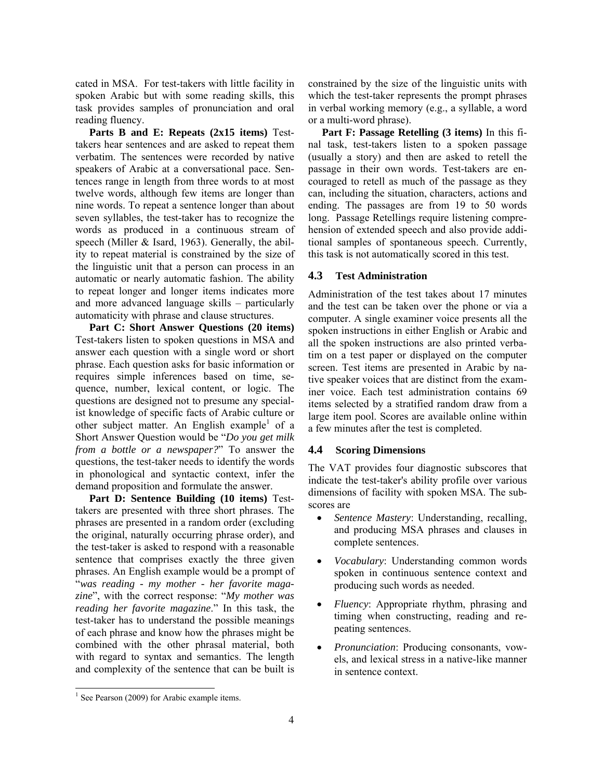cated in MSA. For test-takers with little facility in spoken Arabic but with some reading skills, this task provides samples of pronunciation and oral rea ding fluency.

and more advanced language skills – particularly aut omaticity with phrase and clause structures. **Parts B and E: Repeats (2x15 items)** Testtakers hear sentences and are asked to repeat them verbatim. The sentences were recorded by native speakers of Arabic at a conversational pace. Sentences range in length from three words to at most twelve words, although few items are longer than nine words. To repeat a sentence longer than about seven syllables, the test-taker has to recognize the words as produced in a continuous stream of speech (Miller & Isard, 1963). Generally, the ability to repeat material is constrained by the size of the linguistic unit that a person can process in an automatic or nearly automatic fashion. The ability to repeat longer and longer items indicates more

in phonological and syntactic context, infer the dem and proposition and formulate the answer. **Part C: Short Answer Questions (20 items)** Test-takers listen to spoken questions in MSA and answer each question with a single word or short phrase. Each question asks for basic information or requires simple inferences based on time, sequence, number, lexical content, or logic. The questions are designed not to presume any specialist knowledge of specific facts of Arabic culture or other subject matter. An English example<sup>1</sup> of a Short Answer Question would be "*Do you get milk from a bottle or a newspaper?*" To answer the questions, the test-taker needs to identify the words

**Part D: Sentence Building (10 items)** Testtakers are presented with three short phrases. The phrases are presented in a random order (excluding the original, naturally occurring phrase order), and the test-taker is asked to respond with a reasonable sentence that comprises exactly the three given phrases. An English example would be a prompt of "*was reading - my mother - her favorite magazine*", with the correct response: "*My mother was reading her favorite magazine*." In this task, the test-taker has to understand the possible meanings of each phrase and know how the phrases might be combined with the other phrasal material, both with regard to syntax and semantics. The length and complexity of the sentence that can be built is

in verbal working memory (e.g., a syllable, a word or a multi-word phrase). constrained by the size of the linguistic units with which the test-taker represents the prompt phrases

tional samples of spontaneous speech. Currently, this task is not automatically scored in this test. **Part F: Passage Retelling (3 items)** In this final task, test-takers listen to a spoken passage (usually a story) and then are asked to retell the passage in their own words. Test-takers are encouraged to retell as much of the passage as they can, including the situation, characters, actions and ending. The passages are from 19 to 50 words long. Passage Retellings require listening comprehension of extended speech and also provide addi-

## **4.3 Test Administration**

large item pool. Scores are available online within a few minutes after the test is completed. Administration of the test takes about 17 minutes and the test can be taken over the phone or via a computer. A single examiner voice presents all the spoken instructions in either English or Arabic and all the spoken instructions are also printed verbatim on a test paper or displayed on the computer screen. Test items are presented in Arabic by native speaker voices that are distinct from the examiner voice. Each test administration contains 69 items selected by a stratified random draw from a

### **4.4 Scoring Dimensions**

dimensions of facility with spoken MSA. The subscores are The VAT provides four diagnostic subscores that indicate the test-taker's ability profile over various

- and producing MSA phrases and clauses in *Sentence Mastery*: Understanding, recalling, complete sentences.
- spoken in continuous sentence context and *Vocabulary*: Understanding common words producing such words as needed.
- timing when constructing, reading and re-*Fluency*: Appropriate rhythm, phrasing and peating sentences.
- els, and lexical stress in a native-like manner *Pronunciation*: Producing consonants, vowin sentence context.

l

<sup>&</sup>lt;sup>1</sup> See Pearson (2009) for Arabic example items.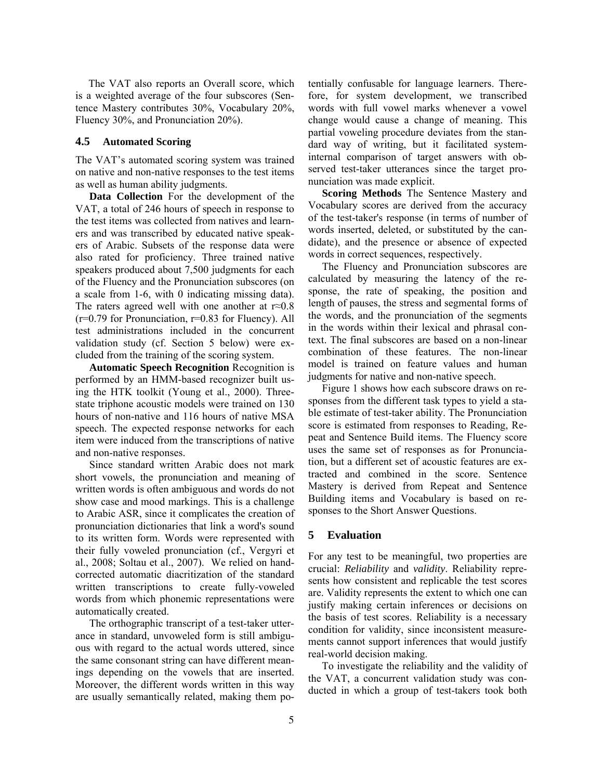The VAT also reports an Overall score, which is a weighted average of the four subscores (Sen tence Mastery contributes 30%, Vocabulary 20%, Fluency 30%, and Pronunciation 20%).

### **4.5 Automated Scoring**

The VAT's automated scoring system was trained on native and non-native responses to the test items as well as human ability judgments.

test administrations included in the concurrent val idation study (cf. Section 5 below) were ex-**Data Collection** For the development of the VAT, a total of 246 hours of speech in response to the test items was collected from natives and learners and was transcribed by educated native speakers of Arabic. Subsets of the response data were also rated for proficiency. Three trained native speakers produced about 7,500 judgments for each of the Fluency and the Pronunciation subscores (on a scale from 1-6, with 0 indicating missing data). The raters agreed well with one another at r≈0.8  $(r=0.79$  for Pronunciation,  $r=0.83$  for Fluency). All cluded from the training of the scoring system.

speech. The expected response networks for each ite m were induced from the transcriptions of native **Automatic Speech Recognition** Recognition is performed by an HMM-based recognizer built using the HTK toolkit (Young et al., 2000). Threestate triphone acoustic models were trained on 130 hours of non-native and 116 hours of native MSA and non-native responses.

wo rds from which phonemic representations were Since standard written Arabic does not mark short vowels, the pronunciation and meaning of written words is often ambiguous and words do not show case and mood markings. This is a challenge to Arabic ASR, since it complicates the creation of pronunciation dictionaries that link a word's sound to its written form. Words were represented with their fully voweled pronunciation (cf., Vergyri et al., 2008; Soltau et al., 2007). We relied on handcorrected automatic diacritization of the standard written transcriptions to create fully-voweled automatically created.

The orthographic transcript of a test-taker utterance in standard, unvoweled form is still ambiguous with regard to the actual words uttered, since the same consonant string can have different meanings depending on the vowels that are inserted. Moreover, the different words written in this way are usually semantically related, making them po-

internal comparison of target answers with obser ved test-taker utterances since the target protentially confusable for language learners. Therefore, for system development, we transcribed words with full vowel marks whenever a vowel change would cause a change of meaning. This partial voweling procedure deviates from the standard way of writing, but it facilitated systemnunciation was made explicit.

words inserted, deleted, or substituted by the candid ate), and the presence or absence of expected **Scoring Methods** The Sentence Mastery and Vocabulary scores are derived from the accuracy of the test-taker's response (in terms of number of words in correct sequences, respectively.

combination of these features. The non-linear mo del is trained on feature values and human The Fluency and Pronunciation subscores are calculated by measuring the latency of the response, the rate of speaking, the position and length of pauses, the stress and segmental forms of the words, and the pronunciation of the segments in the words within their lexical and phrasal context. The final subscores are based on a non-linear judgments for native and non-native speech.

Mastery is derived from Repeat and Sentence Building items and Vocabulary is based on responses to the Short Answer Questions. Figure 1 shows how each subscore draws on responses from the different task types to yield a stable estimate of test-taker ability. The Pronunciation score is estimated from responses to Reading, Repeat and Sentence Build items. The Fluency score uses the same set of responses as for Pronunciation, but a different set of acoustic features are extracted and combined in the score. Sentence

#### **5 Evaluation**

condition for validity, since inconsistent measureme nts cannot support inferences that would justify For any test to be meaningful, two properties are crucial: *Reliability* and *validity*. Reliability represents how consistent and replicable the test scores are. Validity represents the extent to which one can justify making certain inferences or decisions on the basis of test scores. Reliability is a necessary real-world decision making.

To investigate the reliability and the validity of the VAT, a concurrent validation study was conducted in which a group of test-takers took both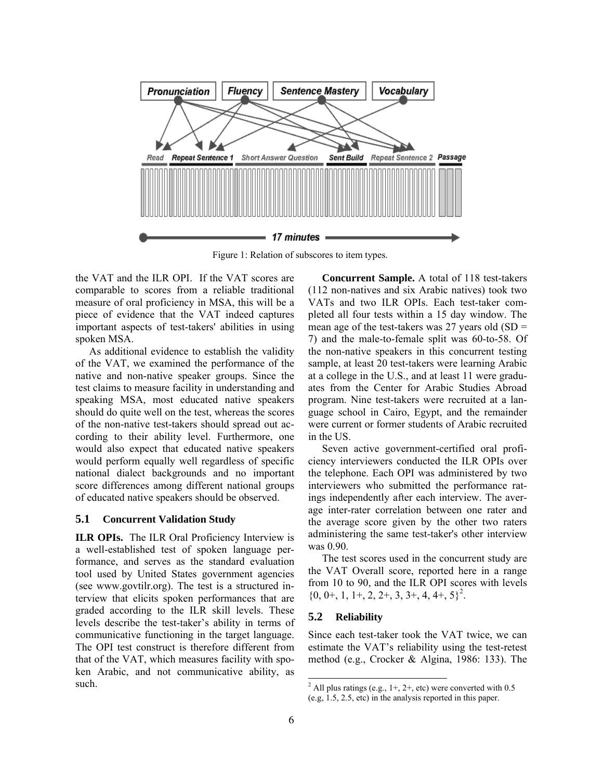

Figure 1: Relation of subscores to item types.

the VAT and the ILR OPI. If the VAT scores are comparable to scores from a reliable traditional measure of oral proficiency in MSA, this will be a piece of evidence that the VAT indeed captures important aspects of test-takers' abilities in using spoken MSA.

As additional evidence to establish the validity of the VAT, we examined the performance of the native and non-native speaker groups. Since the test claims to measure facility in understanding and speaking MSA, most educated native speakers should do quite well on the test, whereas the scores of the non-native test-takers should spread out according to their ability level. Furthermore, one would also expect that educated native speakers would perform equally well regardless of specific national dialect backgrounds and no important score differences among different national groups of educated native speakers should be observed.

### **5.1 Concurrent Validation Study**

communicative functioning in the target language. Th e OPI test construct is therefore different from **ILR OPIs.** The ILR Oral Proficiency Interview is a well-established test of spoken language performance, and serves as the standard evaluation tool used by United States government agencies (see www.govtilr.org). The test is a structured interview that elicits spoken performances that are graded according to the ILR skill levels. These levels describe the test-taker's ability in terms of that of the VAT, which measures facility with spoken Arabic, and not communicative ability, as such.

sample, at least 20 test-takers were learning Arabic at a college in the U.S., and at least 11 were graduates from the Center for Arabic Studies Abroad **Concurrent Sample.** A total of 118 test-takers (112 non-natives and six Arabic natives) took two VATs and two ILR OPIs. Each test-taker completed all four tests within a 15 day window. The mean age of the test-takers was 27 years old  $(SD =$ 7) and the male-to-female split was 60-to-58. Of the non-native speakers in this concurrent testing program. Nine test-takers were recruited at a language school in Cairo, Egypt, and the remainder were current or former students of Arabic recruited in the US.

age inter-rater correlation between one rater and the average score given by the other two raters Seven active government-certified oral proficiency interviewers conducted the ILR OPIs over the telephone. Each OPI was administered by two interviewers who submitted the performance ratings independently after each interview. The averadministering the same test-taker's other interview was 0.90.

The test scores used in the concurrent study are the VAT Overall score, reported here in a range from 10 to 90, and the ILR OPI scores with levels  $\{0, 0+, 1, 1+, 2, 2+, 3, 3+, 4, 4+, 5\}^2$ .

### **5.2 Reliability**

Since each test-taker took the VAT twice, we can estimate the VAT's reliability using the test-retest method (e.g., Crocker & Algina, 1986: 133). The

l

<sup>&</sup>lt;sup>2</sup> All plus ratings (e.g., 1+, 2+, etc) were converted with 0.5 (e.g, 1.5, 2.5, etc) in the analysis reported in this paper.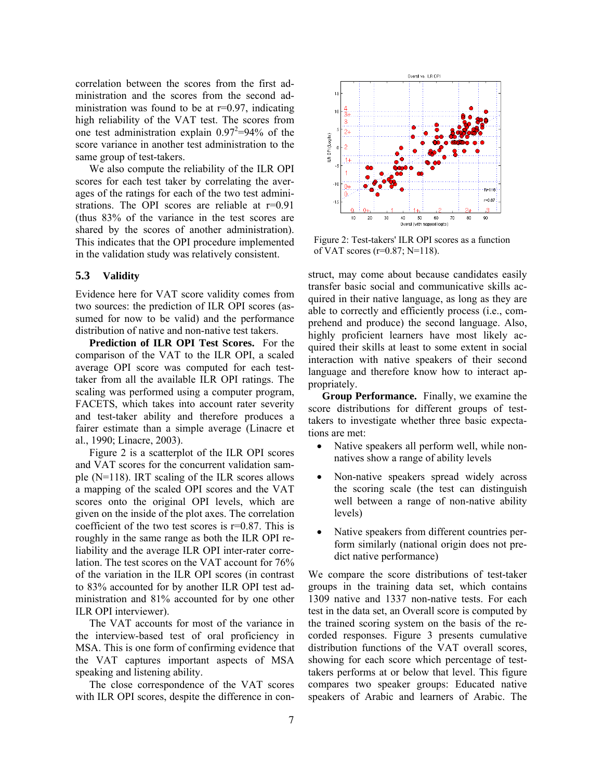correlation between the scores from the first administration and the scores from the second admi nistration was found to be at r=0.97, indicating high reliability of the VAT test. The scores from one test administration explain  $0.97^2 = 94\%$  of the score variance in another test administration to the same group of test-takers.

strations. The OPI scores are reliable at  $r=0.91$ (th us 83% of the variance in the test scores are We also compute the reliability of the ILR OPI scores for each test taker by correlating the averages of the ratings for each of the two test adminishared by the scores of another administration). This indicates that the OPI procedure implemented in the validation study was relatively consistent.

### **5.3 Validity**

Evidence here for VAT score validity comes from two sources: the prediction of ILR OPI scores (assumed for now to be valid) and the performance distribution of native and non-native test takers.

**Prediction of ILR OPI Test Scores.** For the comparison of the VAT to the ILR OPI, a scaled average OPI score was computed for each testtaker from all the available ILR OPI ratings. The scaling was performed using a computer program, FACETS, which takes into account rater severity and test-taker ability and therefore produces a fairer estimate than a simple average (Linacre et al., 1990; Linacre, 2003).

Figure 2 is a scatterplot of the ILR OPI scores and VAT scores for the concurrent validation sample (N=118). IRT scaling of the ILR scores allows a mapping of the scaled OPI scores and the VAT scores onto the original OPI levels, which are given on the inside of the plot axes. The correlation coefficient of the two test scores is r=0.87. This is roughly in the same range as both the ILR OPI reliability and the average ILR OPI inter-rater correlation. The test scores on the VAT account for 76% of the variation in the ILR OPI scores (in contrast to 83% accounted for by another ILR OPI test administration and 81% accounted for by one other ILR OPI interviewer).

the interview-based test of oral proficiency in MSA. This is one form of confirming evidence that the VAT captures important aspects of MSA speaking and listening ability. The VAT accounts for most of the variance in

The close correspondence of the VAT scores with ILR OPI scores, despite the difference in con-



Figure 2: Test-takers' ILR OPI scores as a function of VAT scores (r=0.87; N=118).

struct, may come about because candidates easily transfer basic social and communicative skills acquired in their native language, as long as they are able to correctly and efficiently process (i.e., comprehend and produce) the second language. Also, highly proficient learners have most likely acquired their skills at least to some extent in social interaction with native speakers of their second language and therefore know how to interact appropriately.

**Group Performance.** Finally, we examine the score distributions for different groups of testtakers to investigate whether three basic expectations are met:

- Native speakers all perform well, while nonnatives show a range of ability levels
- Non-native speakers spread widely across the scoring scale (the test can distinguish well between a range of non-native ability levels)
- dict native performance) • Native speakers from different countries perform similarly (national origin does not pre-

We compare the score distributions of test-taker groups in the training data set, which contains 1309 native and 1337 non-native tests. For each test in the data set, an Overall score is computed by the trained scoring system on the basis of the recorded responses. Figure 3 presents cumulative distribution functions of the VAT overall scores, showing for each score which percentage of testtakers performs at or below that level. This figure compares two speaker groups: Educated native speakers of Arabic and learners of Arabic. The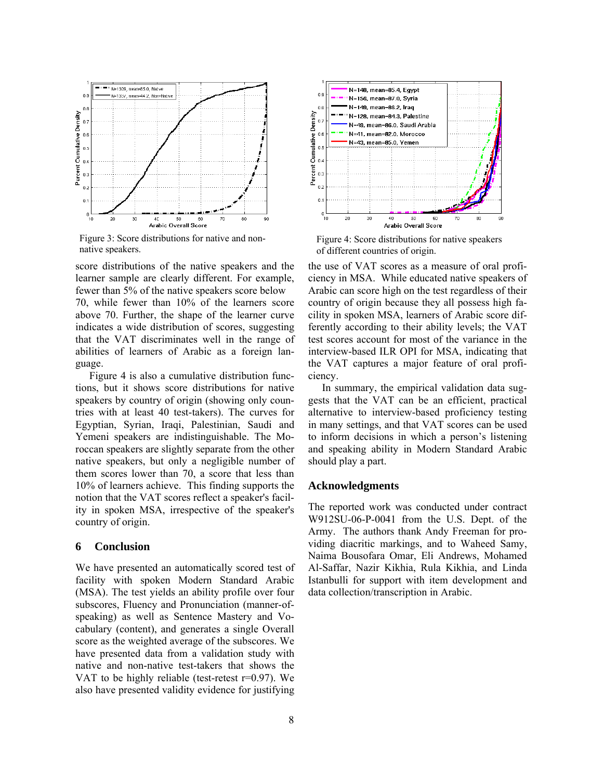

Figure 3: Score distributions for native and nonnative speakers.

score distributions of the native speakers and the learner sample are clearly different. For example, fewer than 5% of the native speakers score below 70, while fewer than 10% of the learners score

above 70. Further, the shape of the learner curve indicates a wide distribution of scores, suggesting that the VAT discriminates well in the range of abilities of learners of Arabic as a foreign language.

Yemeni speakers are indistinguishable. The Moroccan speakers are slightly separate from the other native speakers, but only a negligible number of them scores lower than 70, a score that less than 10% of learners achieve. This finding supports the notion that the VAT scores reflect a speaker's facility in spoken MSA, irrespective of the speaker's country of origin. Figure 4 is also a cumulative distribution functions, but it shows score distributions for native speakers by country of origin (showing only countries with at least 40 test-takers). The curves for Egyptian, Syrian, Iraqi, Palestinian, Saudi and

### **6 Conclusion**

We have presented an automatically scored test of facility with spoken Modern Standard Arabic (MSA). The test yields an ability profile over four subscores, Fluency and Pronunciation (manner-ofspeaking) as well as Sentence Mastery and Vocabulary (content), and generates a single Overall score as the weighted average of the subscores. We have presented data from a validation study with native and non-native test-takers that shows the VAT to be highly reliable (test-retest r=0.97). We also have presented validity evidence for justifying



Figure 4: Score distributions for native speakers of different countries of origin.

the use of VAT scores as a measure of oral proficiency in MSA. While educated native speakers of Arabic can score high on the test regardless of their country of origin because they all possess high facility in spoken MSA, learners of Arabic score differently according to their ability levels; the VAT test scores account for most of the variance in the interview-based ILR OPI for MSA, indicating that the VAT captures a major feature of oral proficiency.

In summary, the empirical validation data suggests that the VAT can be an efficient, practical alternative to interview-based proficiency testing in many settings, and that VAT scores can be used to inform decisions in which a person's listening and speaking ability in Modern Standard Arabic should play a part.

### **Acknowledgments**

The reported work was conducted under contract W912SU-06-P-0041 from the U.S. Dept. of the Army. The authors thank Andy Freeman for providing diacritic markings, and to Waheed Samy, Naima Bousofara Omar, Eli Andrews, Mohamed Al-Saffar, Nazir Kikhia, Rula Kikhia, and Linda Istanbulli for support with item development and data collection/transcription in Arabic.